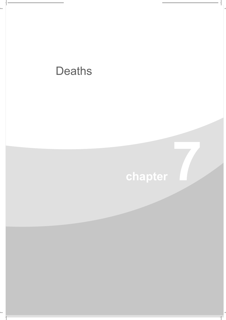# Deaths

# chapter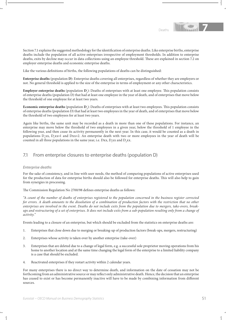

Section 7.1 explains the suggested methodology for the identification of enterprise deaths. Like enterprise births, enterprise deaths include the population of all active enterprises irrespective of employment thresholds. In addition to enterprise deaths, exits by decline may occur in data collections using an employee threshold. These are explained in section 7.2 on employer enterprise deaths and economic enterprise deaths.

Like the various definitions of births, the following populations of deaths can be distinguished:

**Enterprise deaths** (population **D**): Enterprise deaths covering all enterprises, regardless of whether they are employers or not. No general threshold is applied to the size of the enterprise in terms of employment or any other characteristics.

**Employer enterprise deaths** (population  $D_1$ ): Deaths of enterprises with at least one employee. This population consists of enterprise deaths (population D) that had at least one employee in the year of death, and of enterprises that move below the threshold of one employee for at least two years.

**Economic enterprise deaths** (population **D**<sub>2</sub>): Deaths of enterprises with at least two employees. This population consists of enterprise deaths (population D) that had at least two employees in the year of death, and of enterprises that move below the threshold of two employees for at least two years.

Again like births, the same unit may be recorded as a death in more than one of these populations. For instance, an enterprise may move below the threshold of two employees in a given year, below the threshold of 1 employee in the following year, and then cease its activity permanently in the next year. In this case, it would be counted as a death in populations  $D_2$ xx,  $D_1$ xx+1 and Dxx+2. An enterprise death with two or more employees in the year of death will be counted in all three populations in the same year, i.e.  $Dxx$ ,  $D_1xx$  and  $D_2xx$ .

# 7.1 From enterprise closures to enterprise deaths (population D)

#### *Enterprise deaths*

For the sake of consistency, and in line with user needs, the method of comparing populations of active enterprises used for the production of data for enterprise births should also be followed for enterprise deaths. This will also help to gain from synergies in processing.

The Commission Regulation No 2700/98 defines enterprise deaths as follows:

"A count of the number of deaths of enterprises registered to the population concerned in the business register corrected for errors. A death amounts to the dissolution of a combination of production factors with the restriction that no other enterprises are involved in the event. Deaths do not include exits from the population due to mergers, take-overs, breakups and restructuring of a set of enterprises. It does not include exits from a sub-population resulting only from a change of activity."

Events leading to a closure of an enterprise, but which should be excluded from the statistics on enterprise deaths are:

- 1. Enterprises that close down due to merging or breaking-up of production factors (break-ups, mergers, restructuring)
- 2. Enterprises whose activity is taken over by another enterprise (take-over)
- 3. Enterprises that are deleted due to a change of legal form, e.g. a successful sole proprietor moving operations from his home to another location and at the same time changing the legal form of the enterprise to a limited liability company is a case that should be excluded.
- 4. Reactivated enterprises if they restart activity within 2 calendar years.

For many enterprises there is no direct way to determine death, and information on the date of cessation may not be forthcoming from an administrative source or may reflect only administrative death. Hence, the decision that an enterprise has ceased to exist or has become permanently inactive will have to be made by combining information from different sources.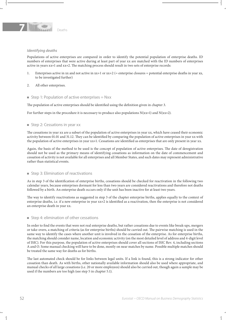

#### *Identifying deaths*

Populations of active enterprises are compared in order to identify the potential population of enterprise deaths. ID numbers of enterprises that were active during at least part of year xx are matched with the ID numbers of enterprises active in years xx+1 and xx+2. The matching process should result in two sets of enterprise records:

- 1. Enterprises active in xx and not active in  $xx+1$  or  $xx+2$  (= enterprise closures = potential enterprise deaths in year xx, to be investigated further)
- 2. All other enterprises.

#### $\blacksquare$  Step 1: Population of active enterprises = Nxx

The population of active enterprises should be identified using the definition given in chapter 3.

For further steps in the procedure it is necessary to produce also populations  $N(xx+1)$  and  $N(xx+2)$ .

#### $\blacksquare$  Step 2: Cessations in year xx

The cessations in year xx are a subset of the population of active enterprises in year xx, which have ceased their economic activity between 01.01 and 31.12. They can be identified by comparing the population of active enterprises in year xx with the population of active enterprises in year xx+1. Cessations are identified as enterprises that are only present in year xx.

Again, the basis of the method to be used is the concept of population of active enterprises. The date of deregistration should not be used as the primary means of identifying cessations as information on the date of commencement and cessation of activity is not available for all enterprises and all Member States, and such dates may represent administrative rather than statistical events.

#### ■ Step 3: Elimination of reactivations

As in step 3 of the identification of enterprise births, cessations should be checked for reactivation in the following two calendar years, because enterprises dormant for less than two years are considered reactivations and therefore not deaths followed by a birth. An enterprise death occurs only if the unit has been inactive for at least two years.

The way to identify reactivations as suggested in step 3 of the chapter enterprise births, applies equally to the context of enterprise deaths, i.e. if a new enterprise in year xx+2 is identified as a reactivation, then the enterprise is not considered an enterprise death in year xx.

#### $\blacksquare$  Step 4: elimination of other cessations

In order to find the events that were not real enterprise deaths, but rather cessations due to events like break-ups, mergers or take-overs, a matching of criteria (as for enterprise births) should be carried out. The pairwise matching is used in the same way to identify the cases where another unit is involved in the cessation of the enterprise. As for enterprise births, the matching should consider name, location and economic activity (on the most detailed level of address and 4-digit level of ISIC). For this purpose, the population of active enterprises should cover all sections of ISIC Rev. 4, including sections A and O. Some manual checking will have to be done, mostly on near matches by name. Possible multiple matches should be treated the same way for deaths as for births.

The last automated check should be for links between legal units. If a link is found, this is a strong indicator for other cessation than death. As with births, other nationally available information should also be used where appropriate, and manual checks of all large cessations (i.e. 20 or more employees) should also be carried out, though again a sample may be used if the numbers are too high (see step 5 in chapter 5.1).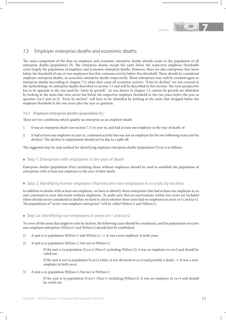

# 7.2 Employer enterprise deaths and economic deaths

The main component of the data on employer and economic enterprise deaths already exists in the population of all enterprise deaths (population D). The enterprise deaths except the units below the respective employee thresholds cover largely the population of employer and economic enterprise deaths. However, there are also enterprises that move below the threshold of one or two employees but that continue activity below this threshold. These should be considered employer enterprise deaths, or economic enterprise deaths respectively. These enterprises may well be counted again as enterprise deaths (according to chapter 7.1) when they cease all economic activity. "Exits by decline" are not covered in the methodology on enterprise deaths described in section 7.1 and will be described in this section. The time perspective has to be opposite to the one used for "entry by growth". As was shown in chapter 5.2, entries by growth are identified by looking at the units that were active but below the respective employee threshold in the two years before the year in question (xx-1 and xx-2). "Exits by decline" will have to be identified by looking at the units that dropped below the employee threshold in the two years *after* the year in question.

#### 7.2.1 Employer enterprise deaths (population D<sub>1</sub>)

There are two conditions which qualify an enterprise as an employer death:

- 1. It was an enterprise death (see section 7.1) in year xx, and had at least one employee in the year of death, or
- 2. It had at least one employee in year xx, continued activity but was not an employer for the two following years (exit by decline). The decline in employment should not be due to a split-off.

The suggested step-by-step method for identifying employer enterprise deaths (population  $\rm{D}_i{\rm xx}$ ) is as follows:

#### $\blacksquare$  Step 1: Enterprises with employees in the year of death

Enterprise deaths (population Dxx) excluding those without employees should be used to establish the population of enterprises with at least one employee in the year of their death.

#### ■ Step 2: Identifying former employers that become non-employers in xx (exits by decline)

In addition to deaths with at least one employee, we have to identify those enterprises that had at least one employee in xx and continued to exist afterwards without employees. To make sure that no reactivations within two years are included (these should not be considered as deaths), we have to check whether these units had no employees in years xx+1 and xx+2. The populations of "active non-employer enterprises" will be called  $N(0)xx+1$  and  $N(0)xx+2$ .

#### Step 2a: Identifying non-employers in years  $x+1$  and  $x+2$

To cover all the units that might be exits by decline, the following cases should be considered, and the populations of active non-employer enterprises N(0)xx+1 and N(0)xx+2 should first be established.

- 1) A unit is in population  $N(0)xx+1$  and  $N(0)xx+2$ .  $\Rightarrow$  It was a non-employer in both years.
- 2) A unit is in population  $N(0)$ xx+1, but not in  $N(0)$ xx+2.

If the unit is in population  $N_1xx+2$  (Nxx+2 excluding N(0)xx+2), it was an employer in xx+2 and should be ruled out.

If the unit is not in population N<sub>1</sub>xx+2 either, it was dormant in xx+2 and possibly a death. => It was a nonemployer in both years.

3) A unit is in population  $N(0)$ xx+2, but not in  $N(0)$ xx+1.

If the unit is in population N<sub>1</sub>xx+1 (Nxx+1 excluding N(0)xx+1), it was an employer in xx+1 and should be ruled out.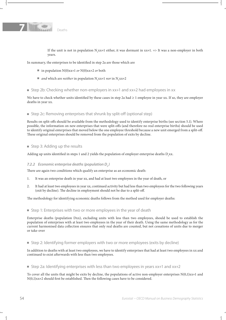

If the unit is not in population  $N_1x$ x+1 either, it was dormant in xx+1. => It was a non-employer in both years.

In summary, the enterprises to be identified in step 2a are those which are

- in population N(0)xx+1 *or* N(0)xx+2 *or* both
- $\blacksquare$  and which are neither in population N<sub>1</sub>xx+1 nor in N<sub>1</sub>xx+2
- $\blacksquare$  Step 2b: Checking whether non-employers in xx+1 and xx+2 had employees in xx

We have to check whether units identified by these cases in step 2a had ≥ 1 employee in year xx. If so, they are employer deaths in year xx.

#### $\blacksquare$  Step 2c: Removing enterprises that shrunk by split-off (optional step)

Results on split-offs should be available from the methodology used to identify enterprise births (see section 5.1). Where possible, the information on new enterprises that were split-offs (and therefore no real enterprise births) should be used to identify original enterprises that moved below the one employee threshold because a new unit emerged from a split-off. These original enterprises should be removed from the population of exits by decline.

#### $\blacksquare$  Step 3: Adding up the results

Adding up units identified in steps 1 and 2 yields the population of employer enterprise deaths  $\rm D_i x x.$ 

#### *7.2.2 Economic enterprise deaths (population D2 )*

There are again two conditions which qualify an enterprise as an economic death:

- 1. It was an enterprise death in year xx, and had at least two employees in the year of death, or
- 2. It had at least two employees in year xx, continued activity but had less than two employees for the two following years (exit by decline). The decline in employment should not be due to a split-off.

The methodology for identifying economic deaths follows from the method used for employer deaths:

#### $\blacksquare$  Step 1: Enterprises with two or more employees in the year of death

Enterprise deaths (population Dxx), excluding units with less than two employees, should be used to establish the population of enterprises with at least two employees in the year of their death. Using the same methodology as for the current harmonised data collection ensures that only real deaths are counted, but not cessations of units due to merger or take-over

#### ■ Step 2: Identifying former employers with two or more employees (exits by decline)

In addition to deaths with at least two employees, we have to identify enterprises that had at least two employees in xx and continued to exist afterwards with less than two employees.

 $\blacksquare$  Step 2a: Identifying enterprises with less than two employees in years xx+1 and xx+2

To cover all the units that might be exits by decline, the populations of active non-employer enterprises N(0,1)xx+1 and N(0,1)xx+2 should first be established. Then the following cases have to be considered.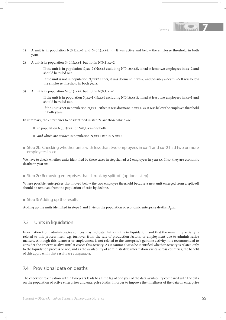- 1) A unit is in population  $N(0,1)xx+1$  and  $N(0,1)xx+2.$  => It was active and below the employee threshold in both years.
- 2) A unit is in population  $N(0,1)$ xx+1, but not in  $N(0,1)$ xx+2.

If the unit is in population N<sub>2</sub>xx+2 (Nxx+2 excluding N(0,1)xx+2), it had at least two employees in xx+2 and should be ruled out.

If the unit is not in population N<sub>2</sub>xx+2 either, it was dormant in xx+2, and possibly a death. => It was below the employee threshold in both years.

3) A unit is in population  $N(0,1)$ xx+2, but not in  $N(0,1)$ xx+1.

If the unit is in population  $N_2x x+1$  (Nxx+1 excluding N(0,1)xx+1), it had at least two employees in xx+1 and should be ruled out.

If the unit is not in population  $N_2x$ x+1 either, it was dormant in xx+1. => It was below the employee threshold in both years.

In summary, the enterprises to be identified in step 2a are those which are

- $\blacksquare$  in population N(0,1)xx+1 *or* N(0,1)xx+2 *or* both
- $\blacksquare$  and which are neither in population N<sub>2</sub>xx+1 nor in N<sub>2</sub>xx+2
- $\blacksquare$  Step 2b: Checking whether units with less than two employees in xx+1 and xx+2 had two or more employees in xx

We have to check whether units identified by these cases in step 2a had  $\geq 2$  employees in year xx. If so, they are economic deaths in year xx.

 $\blacksquare$  Step 2c: Removing enterprises that shrunk by split-off (optional step)

Where possible, enterprises that moved below the two employee threshold because a new unit emerged from a split-off should be removed from the population of exits by decline.

 $\blacksquare$  Step 3: Adding up the results

Adding up the units identified in steps 1 and 2 yields the population of economic enterprise deaths  $\rm D2_{x}$ xx.

# 7.3 Units in liquidation

Information from administrative sources may indicate that a unit is in liquidation, and that the remaining activity is related to this process itself, e.g. turnover from the sale of production factors, or employment due to administrative matters. Although this turnover or employment is not related to the enterprise's genuine activity, it is recommended to consider the enterprise alive until it ceases this activity. As it cannot always be identified whether activity is related only to the liquidation process or not, and as the availability of administrative information varies across countries, the benefit of this approach is that results are comparable.

### 7.4 Provisional data on deaths

The check for reactivation within two years leads to a time lag of one year of the data availability compared with the data on the population of active enterprises and enterprise births. In order to improve the timeliness of the data on enterprise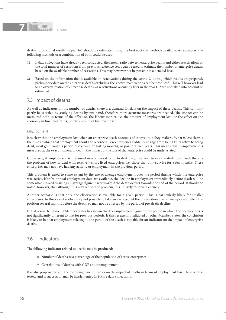

deaths, provisional results in year t+2 should be estimated using the best national methods available. As examples, the following methods or a combination of both could be used:

- 1) If data collections have already been conducted, the known ratio between enterprise deaths and either reactivations or the total number of cessations from previous reference years can be used to estimate the number of enterprise deaths based on the available number of cessations. This may however not be possible at a detailed level.
- 2) Based on the information that is available on reactivations during the year t+2, during which results are prepared, preliminary data on the enterprise deaths excluding the known reactivations can be produced. This will however lead to an overestimation of enterprise deaths, as reactivations occurring later in the year t+2 are not taken into account or estimated.

# 7.5 Impact of deaths

As well as indicators on the number of deaths, there is a demand for data on the impact of these deaths. This can only partly be satisfied by studying deaths by size-band, therefore more accurate measures are needed. The impact can be measured both in terms of the effect on the labour market, i.e. the amount of employment lost, or the effect on the economy in financial terms, i.e. the amount of turnover lost.

#### *Employment*

It is clear that the employment lost when an enterprise death occurs is of interest to policy makers. What is less clear is the time at which that employment should be recorded. Few enterprises suddenly change from being fully active to being dead, most go through a period of contraction lasting months, or possibly even years. This means that if employment is measured at the exact moment of death, the impact of the loss of that enterprise could be under-stated.

Conversely, if employment is measured over a period prior to death, e.g. the year before the death occurred, there is the problem of how to deal with relatively short-lived enterprises, i.e. those that only survive for a few months. These enterprises may not have had any activity or employment in the previous period.

This problem is eased to some extent by the use of average employment over the period during which the enterprise was active. If infra-annual employment data are available, the decline in employment immediately before death will be somewhat masked by using an average figure, particularly if the death occurs towards the end of the period. It should be noted, however, that although this may reduce the problem, it is unlikely to solve it entirely.

Another scenario is that only one observation is available for a given period. This is particularly likely for smaller enterprises. In this case it is obviously not possible to take an average, but the observation may, in many cases, reflect the position several months before the death, so may not be affected by the period of pre-death decline.

Initial research in two EU Member States has shown that the employment figure for the period in which the death occurs is not significantly different to that for previous periods. If this research is validated by other Member States, the conclusion is likely to be that employment relating to the period of the death is suitable for an indicator on the impact of enterprise deaths.

## 7.6 Indicators

The following indicator related to deaths may be produced:

- $\blacksquare$  Number of deaths as a percentage of the population of active enterprises.
- Correlations of deaths with GDP and unemployment

It is also proposed to add the following two indicators on the impact of deaths in terms of employment loss. These will be tested, and if successful, may be implemented in future data collections.